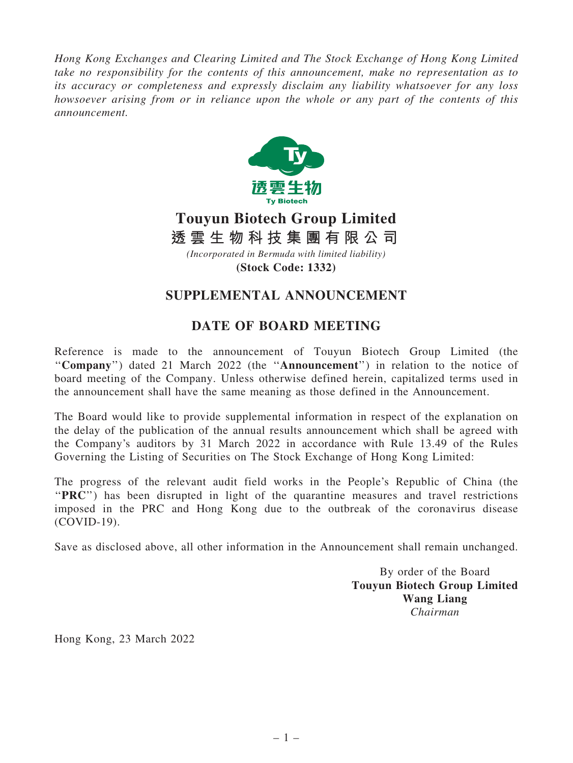Hong Kong Exchanges and Clearing Limited and The Stock Exchange of Hong Kong Limited take no responsibility for the contents of this announcement, make no representation as to its accuracy or completeness and expressly disclaim any liability whatsoever for any loss howsoever arising from or in reliance upon the whole or any part of the contents of this announcement.



## **Touyun Biotech Group Limited** *(Incorporated in Bermuda with limited liability)* **透 雲 生 物 科 技 集 團 有 限 公 司**

**(Stock Code: 1332)**

## SUPPLEMENTAL ANNOUNCEMENT

## DATE OF BOARD MEETING

Reference is made to the announcement of Touyun Biotech Group Limited (the ''Company'') dated 21 March 2022 (the ''Announcement'') in relation to the notice of board meeting of the Company. Unless otherwise defined herein, capitalized terms used in the announcement shall have the same meaning as those defined in the Announcement.

The Board would like to provide supplemental information in respect of the explanation on the delay of the publication of the annual results announcement which shall be agreed with the Company's auditors by 31 March 2022 in accordance with Rule 13.49 of the Rules Governing the Listing of Securities on The Stock Exchange of Hong Kong Limited:

The progress of the relevant audit field works in the People's Republic of China (the "PRC") has been disrupted in light of the quarantine measures and travel restrictions imposed in the PRC and Hong Kong due to the outbreak of the coronavirus disease (COVID-19).

Save as disclosed above, all other information in the Announcement shall remain unchanged.

By order of the Board Touyun Biotech Group Limited Wang Liang Chairman

Hong Kong, 23 March 2022